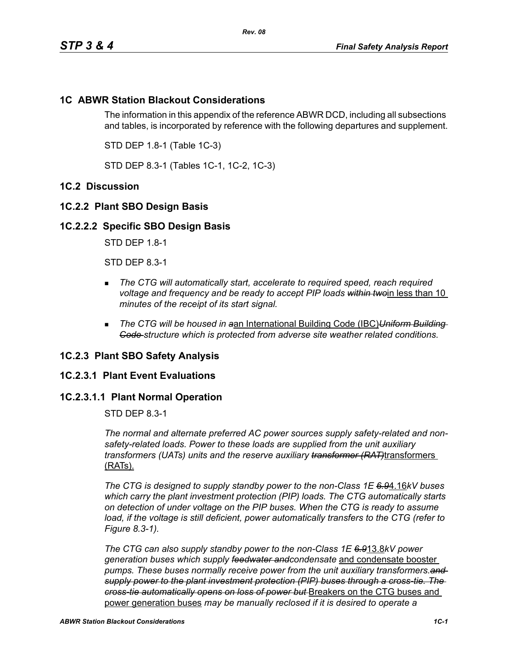# **1C ABWR Station Blackout Considerations**

The information in this appendix of the reference ABWR DCD, including all subsections and tables, is incorporated by reference with the following departures and supplement.

STD DEP 1.8-1 (Table 1C-3)

STD DEP 8.3-1 (Tables 1C-1, 1C-2, 1C-3)

# **1C.2 Discussion**

## **1C.2.2 Plant SBO Design Basis**

#### **1C.2.2.2 Specific SBO Design Basis**

STD DEP 1.8-1

STD DEP 8.3-1

- **The CTG will automatically start, accelerate to required speed, reach required** *voltage and frequency and be ready to accept PIP loads within two*in less than 10 *minutes of the receipt of its start signal.*
- *The CTG will be housed in a*an International Building Code (IBC)*Uniform Building Code structure which is protected from adverse site weather related conditions.*

#### **1C.2.3 Plant SBO Safety Analysis**

#### **1C.2.3.1 Plant Event Evaluations**

## **1C.2.3.1.1 Plant Normal Operation**

STD DEP 8.3-1

*The normal and alternate preferred AC power sources supply safety-related and nonsafety-related loads. Power to these loads are supplied from the unit auxiliary transformers (UATs) units and the reserve auxiliary transformer (RAT)*transformers (RATs).

*The CTG is designed to supply standby power to the non-Class 1E 6.9*4.16*kV buses which carry the plant investment protection (PIP) loads. The CTG automatically starts on detection of under voltage on the PIP buses. When the CTG is ready to assume*  load, if the voltage is still deficient, power automatically transfers to the CTG (refer to *Figure 8.3-1).*

*The CTG can also supply standby power to the non-Class 1E 6.9*13.8*kV power generation buses which supply feedwater andcondensate* and condensate booster *pumps. These buses normally receive power from the unit auxiliary transformers.and supply power to the plant investment protection (PIP) buses through a cross-tie. The cross-tie automatically opens on loss of power but* Breakers on the CTG buses and power generation buses *may be manually reclosed if it is desired to operate a*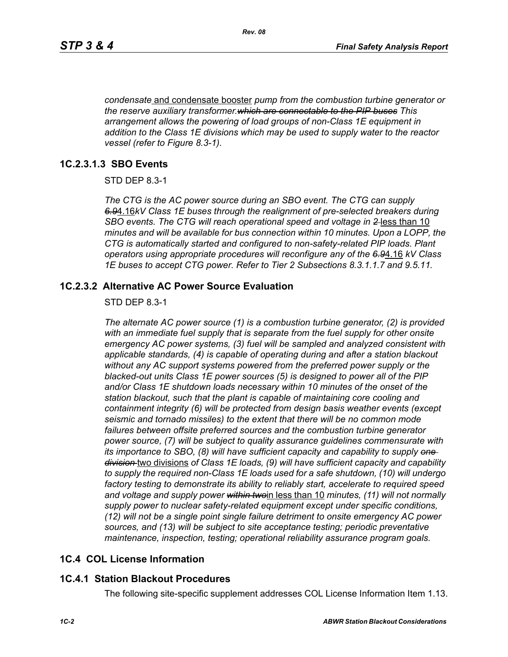*condensate* and condensate booster *pump from the combustion turbine generator or the reserve auxiliary transformer.which are connectable to the PIP buses This arrangement allows the powering of load groups of non-Class 1E equipment in addition to the Class 1E divisions which may be used to supply water to the reactor vessel (refer to Figure 8.3-1).*

## **1C.2.3.1.3 SBO Events**

STD DEP 8.3-1

*The CTG is the AC power source during an SBO event. The CTG can supply 6.9*4.16*kV Class 1E buses through the realignment of pre-selected breakers during SBO events. The CTG will reach operational speed and voltage in 2* less than 10 *minutes and will be available for bus connection within 10 minutes. Upon a LOPP, the CTG is automatically started and configured to non-safety-related PIP loads. Plant operators using appropriate procedures will reconfigure any of the 6.9*4.16 *kV Class 1E buses to accept CTG power. Refer to Tier 2 Subsections 8.3.1.1.7 and 9.5.11.*

## **1C.2.3.2 Alternative AC Power Source Evaluation**

#### STD DEP 8.3-1

*The alternate AC power source (1) is a combustion turbine generator, (2) is provided with an immediate fuel supply that is separate from the fuel supply for other onsite emergency AC power systems, (3) fuel will be sampled and analyzed consistent with applicable standards, (4) is capable of operating during and after a station blackout without any AC support systems powered from the preferred power supply or the blacked-out units Class 1E power sources (5) is designed to power all of the PIP and/or Class 1E shutdown loads necessary within 10 minutes of the onset of the station blackout, such that the plant is capable of maintaining core cooling and containment integrity (6) will be protected from design basis weather events (except seismic and tornado missiles) to the extent that there will be no common mode*  failures between offsite preferred sources and the combustion turbine generator *power source, (7) will be subject to quality assurance guidelines commensurate with its importance to SBO, (8) will have sufficient capacity and capability to supply one division* two divisions *of Class 1E loads, (9) will have sufficient capacity and capability to supply the required non-Class 1E loads used for a safe shutdown, (10) will undergo factory testing to demonstrate its ability to reliably start, accelerate to required speed and voltage and supply power within two*in less than 10 *minutes, (11) will not normally supply power to nuclear safety-related equipment except under specific conditions, (12) will not be a single point single failure detriment to onsite emergency AC power sources, and (13) will be subject to site acceptance testing; periodic preventative maintenance, inspection, testing; operational reliability assurance program goals.*

# **1C.4 COL License Information**

# **1C.4.1 Station Blackout Procedures**

The following site-specific supplement addresses COL License Information Item 1.13.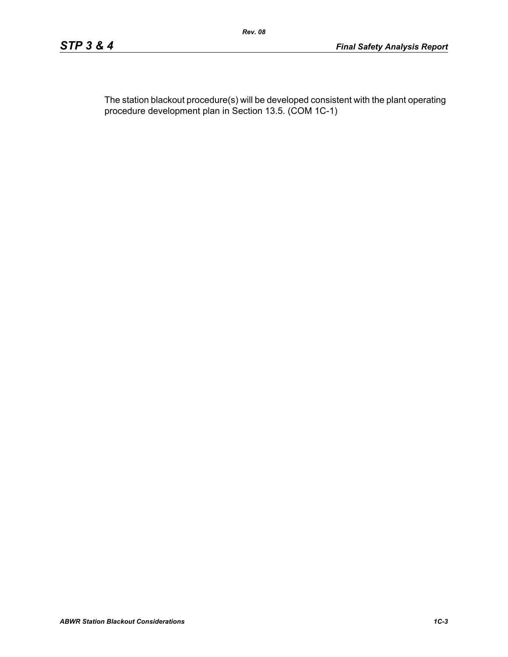The station blackout procedure(s) will be developed consistent with the plant operating procedure development plan in Section 13.5. (COM 1C-1)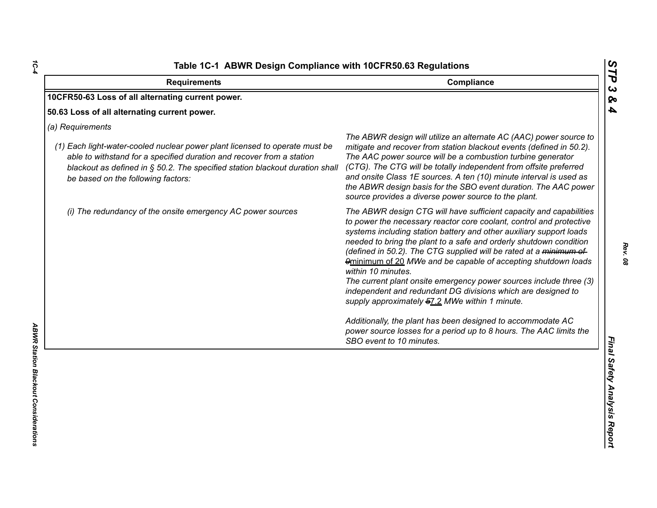| <b>Requirements</b>                                                                                                                                                                                                                                                                            | Compliance                                                                                                                                                                                                                                                                                                                                                                                                                                                                                                                                                                                                                                                                                                                                                                                                  |
|------------------------------------------------------------------------------------------------------------------------------------------------------------------------------------------------------------------------------------------------------------------------------------------------|-------------------------------------------------------------------------------------------------------------------------------------------------------------------------------------------------------------------------------------------------------------------------------------------------------------------------------------------------------------------------------------------------------------------------------------------------------------------------------------------------------------------------------------------------------------------------------------------------------------------------------------------------------------------------------------------------------------------------------------------------------------------------------------------------------------|
| 10CFR50-63 Loss of all alternating current power.                                                                                                                                                                                                                                              |                                                                                                                                                                                                                                                                                                                                                                                                                                                                                                                                                                                                                                                                                                                                                                                                             |
| 50.63 Loss of all alternating current power.                                                                                                                                                                                                                                                   |                                                                                                                                                                                                                                                                                                                                                                                                                                                                                                                                                                                                                                                                                                                                                                                                             |
| (a) Requirements<br>(1) Each light-water-cooled nuclear power plant licensed to operate must be<br>able to withstand for a specified duration and recover from a station<br>blackout as defined in § 50.2. The specified station blackout duration shall<br>be based on the following factors: | The ABWR design will utilize an alternate AC (AAC) power source to<br>mitigate and recover from station blackout events (defined in 50.2).<br>The AAC power source will be a combustion turbine generator<br>(CTG). The CTG will be totally independent from offsite preferred<br>and onsite Class 1E sources. A ten (10) minute interval is used as<br>the ABWR design basis for the SBO event duration. The AAC power<br>source provides a diverse power source to the plant.                                                                                                                                                                                                                                                                                                                             |
| (i) The redundancy of the onsite emergency AC power sources                                                                                                                                                                                                                                    | The ABWR design CTG will have sufficient capacity and capabilities<br>to power the necessary reactor core coolant, control and protective<br>systems including station battery and other auxiliary support loads<br>needed to bring the plant to a safe and orderly shutdown condition<br>(defined in 50.2). The CTG supplied will be rated at a minimum of<br>9minimum of 20 MWe and be capable of accepting shutdown loads<br>within 10 minutes.<br>The current plant onsite emergency power sources include three (3)<br>independent and redundant DG divisions which are designed to<br>supply approximately 57.2 MWe within 1 minute.<br>Additionally, the plant has been designed to accommodate AC<br>power source losses for a period up to 8 hours. The AAC limits the<br>SBO event to 10 minutes. |

*1C-4*

*Rev. 08*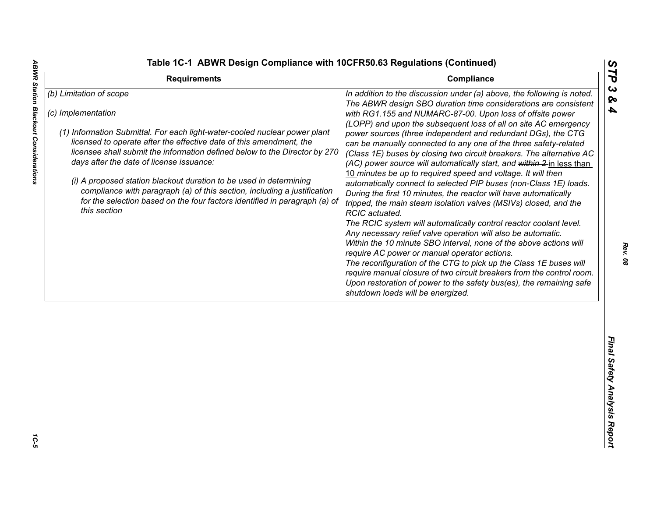**ABWR Station Blackout Considerations** 

|  |  | <b>Fable 1C-1 ABWR Design Compliance with 10CFR50.63 Regulations (Continued)</b> |  |  |  |
|--|--|----------------------------------------------------------------------------------|--|--|--|
|--|--|----------------------------------------------------------------------------------|--|--|--|

| <b>Requirements</b>                                                                                                                                                                                                                                                                                                                                                                                | Compliance                                                                                                                                                                                                                                                                                                                                                                                                                                                                                                                                                                                                                                                                                          | ТP                           |
|----------------------------------------------------------------------------------------------------------------------------------------------------------------------------------------------------------------------------------------------------------------------------------------------------------------------------------------------------------------------------------------------------|-----------------------------------------------------------------------------------------------------------------------------------------------------------------------------------------------------------------------------------------------------------------------------------------------------------------------------------------------------------------------------------------------------------------------------------------------------------------------------------------------------------------------------------------------------------------------------------------------------------------------------------------------------------------------------------------------------|------------------------------|
| (b) Limitation of scope<br>(c) Implementation<br>(1) Information Submittal. For each light-water-cooled nuclear power plant<br>licensed to operate after the effective date of this amendment, the<br>licensee shall submit the information defined below to the Director by 270<br>days after the date of license issuance:<br>(i) A proposed station blackout duration to be used in determining | In addition to the discussion under (a) above, the following is noted.<br>The ABWR design SBO duration time considerations are consistent<br>with RG1.155 and NUMARC-87-00. Upon loss of offsite power<br>(LOPP) and upon the subsequent loss of all on site AC emergency<br>power sources (three independent and redundant DGs), the CTG<br>can be manually connected to any one of the three safety-related<br>(Class 1E) buses by closing two circuit breakers. The alternative AC<br>(AC) power source will automatically start, and within 2-in less than<br>10 minutes be up to required speed and voltage. It will then<br>automatically connect to selected PIP buses (non-Class 1E) loads. | ట<br>ବ<br>$\boldsymbol{4}$   |
| compliance with paragraph (a) of this section, including a justification<br>for the selection based on the four factors identified in paragraph (a) of<br>this section                                                                                                                                                                                                                             | During the first 10 minutes, the reactor will have automatically<br>tripped, the main steam isolation valves (MSIVs) closed, and the<br>RCIC actuated.<br>The RCIC system will automatically control reactor coolant level.<br>Any necessary relief valve operation will also be automatic.<br>Within the 10 minute SBO interval, none of the above actions will<br>require AC power or manual operator actions.<br>The reconfiguration of the CTG to pick up the Class 1E buses will<br>require manual closure of two circuit breakers from the control room.<br>Upon restoration of power to the safety bus(es), the remaining safe<br>shutdown loads will be energized.                          |                              |
|                                                                                                                                                                                                                                                                                                                                                                                                    |                                                                                                                                                                                                                                                                                                                                                                                                                                                                                                                                                                                                                                                                                                     | Final Safety Analysis Report |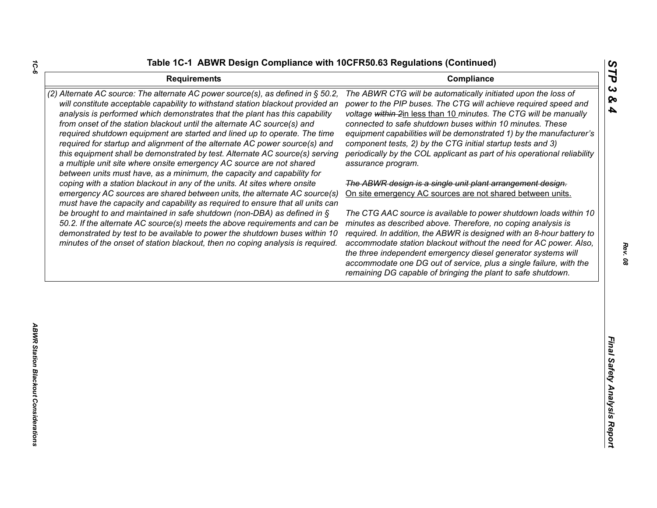| <b>Requirements</b>                                                                                                                                                                                                                                                                                                                                                                                                                                                                                                                                                                                                                                                                                                                                                                                                                                                                  | STP<br>Compliance                                                                                                                                                                                                                                                                                                                                                                                                                                                                                                                                |
|--------------------------------------------------------------------------------------------------------------------------------------------------------------------------------------------------------------------------------------------------------------------------------------------------------------------------------------------------------------------------------------------------------------------------------------------------------------------------------------------------------------------------------------------------------------------------------------------------------------------------------------------------------------------------------------------------------------------------------------------------------------------------------------------------------------------------------------------------------------------------------------|--------------------------------------------------------------------------------------------------------------------------------------------------------------------------------------------------------------------------------------------------------------------------------------------------------------------------------------------------------------------------------------------------------------------------------------------------------------------------------------------------------------------------------------------------|
| (2) Alternate AC source: The alternate AC power source(s), as defined in § 50.2,<br>will constitute acceptable capability to withstand station blackout provided an<br>analysis is performed which demonstrates that the plant has this capability<br>from onset of the station blackout until the alternate AC source(s) and<br>required shutdown equipment are started and lined up to operate. The time<br>required for startup and alignment of the alternate AC power source(s) and<br>this equipment shall be demonstrated by test. Alternate AC source(s) serving<br>a multiple unit site where onsite emergency AC source are not shared<br>between units must have, as a minimum, the capacity and capability for<br>coping with a station blackout in any of the units. At sites where onsite<br>emergency AC sources are shared between units, the alternate AC source(s) | $\boldsymbol{\omega}$<br>The ABWR CTG will be automatically initiated upon the loss of<br>ଚ୍ଚ<br>power to the PIP buses. The CTG will achieve required speed and<br>4<br>voltage within 2in less than 10 minutes. The CTG will be manually<br>connected to safe shutdown buses within 10 minutes. These<br>equipment capabilities will be demonstrated 1) by the manufacturer's<br>component tests, 2) by the CTG initial startup tests and 3)<br>periodically by the COL applicant as part of his operational reliability<br>assurance program. |
|                                                                                                                                                                                                                                                                                                                                                                                                                                                                                                                                                                                                                                                                                                                                                                                                                                                                                      | The ABWR design is a single unit plant arrangement design.<br>On site emergency AC sources are not shared between units.                                                                                                                                                                                                                                                                                                                                                                                                                         |
| must have the capacity and capability as required to ensure that all units can<br>be brought to and maintained in safe shutdown (non-DBA) as defined in $\S$<br>50.2. If the alternate AC source(s) meets the above requirements and can be<br>demonstrated by test to be available to power the shutdown buses within 10<br>minutes of the onset of station blackout, then no coping analysis is required.                                                                                                                                                                                                                                                                                                                                                                                                                                                                          | The CTG AAC source is available to power shutdown loads within 10<br>minutes as described above. Therefore, no coping analysis is<br>required. In addition, the ABWR is designed with an 8-hour battery to<br>accommodate station blackout without the need for AC power. Also,<br>the three independent emergency diesel generator systems will<br>accommodate one DG out of service, plus a single failure, with the<br>remaining DG capable of bringing the plant to safe shutdown.                                                           |
|                                                                                                                                                                                                                                                                                                                                                                                                                                                                                                                                                                                                                                                                                                                                                                                                                                                                                      |                                                                                                                                                                                                                                                                                                                                                                                                                                                                                                                                                  |
|                                                                                                                                                                                                                                                                                                                                                                                                                                                                                                                                                                                                                                                                                                                                                                                                                                                                                      |                                                                                                                                                                                                                                                                                                                                                                                                                                                                                                                                                  |
|                                                                                                                                                                                                                                                                                                                                                                                                                                                                                                                                                                                                                                                                                                                                                                                                                                                                                      | Final Safety Analysis Report                                                                                                                                                                                                                                                                                                                                                                                                                                                                                                                     |
|                                                                                                                                                                                                                                                                                                                                                                                                                                                                                                                                                                                                                                                                                                                                                                                                                                                                                      |                                                                                                                                                                                                                                                                                                                                                                                                                                                                                                                                                  |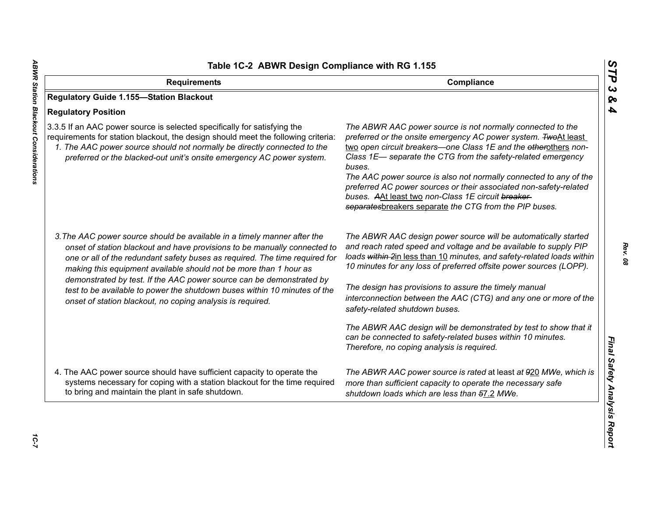| Table 1C-2 ABWR Design Compliance with RG 1.155                                                                                                                                                                                                                                                                                                                                                                                                                |                                                                                                                                                                                                                                                                                                                                                                                                                                                                                                                                     |
|----------------------------------------------------------------------------------------------------------------------------------------------------------------------------------------------------------------------------------------------------------------------------------------------------------------------------------------------------------------------------------------------------------------------------------------------------------------|-------------------------------------------------------------------------------------------------------------------------------------------------------------------------------------------------------------------------------------------------------------------------------------------------------------------------------------------------------------------------------------------------------------------------------------------------------------------------------------------------------------------------------------|
| <b>Requirements</b>                                                                                                                                                                                                                                                                                                                                                                                                                                            | Compliance                                                                                                                                                                                                                                                                                                                                                                                                                                                                                                                          |
| <b>Regulatory Guide 1.155-Station Blackout</b>                                                                                                                                                                                                                                                                                                                                                                                                                 |                                                                                                                                                                                                                                                                                                                                                                                                                                                                                                                                     |
| <b>Regulatory Position</b>                                                                                                                                                                                                                                                                                                                                                                                                                                     |                                                                                                                                                                                                                                                                                                                                                                                                                                                                                                                                     |
| 3.3.5 If an AAC power source is selected specifically for satisfying the<br>requirements for station blackout, the design should meet the following criteria:<br>1. The AAC power source should not normally be directly connected to the<br>preferred or the blacked-out unit's onsite emergency AC power system.                                                                                                                                             | The ABWR AAC power source is not normally connected to the<br>preferred or the onsite emergency AC power system. TwoAt least<br>two open circuit breakers-one Class 1E and the etherothers non-<br>Class 1E- separate the CTG from the safety-related emergency<br>buses.<br>The AAC power source is also not normally connected to any of the<br>preferred AC power sources or their associated non-safety-related<br>buses. AAt least two non-Class 1E circuit breaker-<br>separatesbreakers separate the CTG from the PIP buses. |
| 3. The AAC power source should be available in a timely manner after the<br>onset of station blackout and have provisions to be manually connected to<br>one or all of the redundant safety buses as required. The time required for<br>making this equipment available should not be more than 1 hour as<br>demonstrated by test. If the AAC power source can be demonstrated by<br>test to be available to power the shutdown buses within 10 minutes of the | The ABWR AAC design power source will be automatically started<br>and reach rated speed and voltage and be available to supply PIP<br>loads within 2in less than 10 minutes, and safety-related loads within<br>10 minutes for any loss of preferred offsite power sources (LOPP).<br>The design has provisions to assure the timely manual<br>interconnection between the AAC (CTG) and any one or more of the                                                                                                                     |
| onset of station blackout, no coping analysis is required.                                                                                                                                                                                                                                                                                                                                                                                                     | safety-related shutdown buses.                                                                                                                                                                                                                                                                                                                                                                                                                                                                                                      |
|                                                                                                                                                                                                                                                                                                                                                                                                                                                                | The ABWR AAC design will be demonstrated by test to show that it<br>can be connected to safety-related buses within 10 minutes.<br>Therefore, no coping analysis is required.                                                                                                                                                                                                                                                                                                                                                       |
| 4. The AAC power source should have sufficient capacity to operate the<br>systems necessary for coping with a station blackout for the time required<br>to bring and maintain the plant in safe shutdown.                                                                                                                                                                                                                                                      | The ABWR AAC power source is rated at least at 920 MWe, which is<br>more than sufficient capacity to operate the necessary safe<br>shutdown loads which are less than 57.2 MWe.                                                                                                                                                                                                                                                                                                                                                     |

*STP 3 & 4*

10-7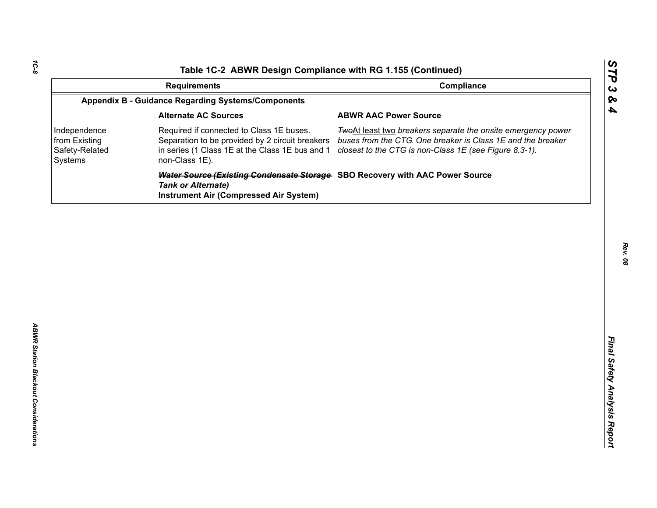| Compliance<br><b>Requirements</b><br><b>Appendix B - Guidance Regarding Systems/Components</b><br><b>Alternate AC Sources</b><br><b>ABWR AAC Power Source</b><br>Required if connected to Class 1E buses.<br>Independence<br>TwoAt least two breakers separate the onsite emergency power<br>buses from the CTG. One breaker is Class 1E and the breaker<br>from Existing<br>Separation to be provided by 2 circuit breakers<br>Safety-Related<br>in series (1 Class 1E at the Class 1E bus and 1<br>closest to the CTG is non-Class 1E (see Figure 8.3-1).<br>non-Class 1E).<br>Systems |  |
|------------------------------------------------------------------------------------------------------------------------------------------------------------------------------------------------------------------------------------------------------------------------------------------------------------------------------------------------------------------------------------------------------------------------------------------------------------------------------------------------------------------------------------------------------------------------------------------|--|
|                                                                                                                                                                                                                                                                                                                                                                                                                                                                                                                                                                                          |  |
|                                                                                                                                                                                                                                                                                                                                                                                                                                                                                                                                                                                          |  |
|                                                                                                                                                                                                                                                                                                                                                                                                                                                                                                                                                                                          |  |
|                                                                                                                                                                                                                                                                                                                                                                                                                                                                                                                                                                                          |  |
| Water Source (Existing Condensate Storage SBO Recovery with AAC Power Source<br><b>Tank or Alternate)</b><br><b>Instrument Air (Compressed Air System)</b>                                                                                                                                                                                                                                                                                                                                                                                                                               |  |

*STP 3 & 4*

*Rev. 08*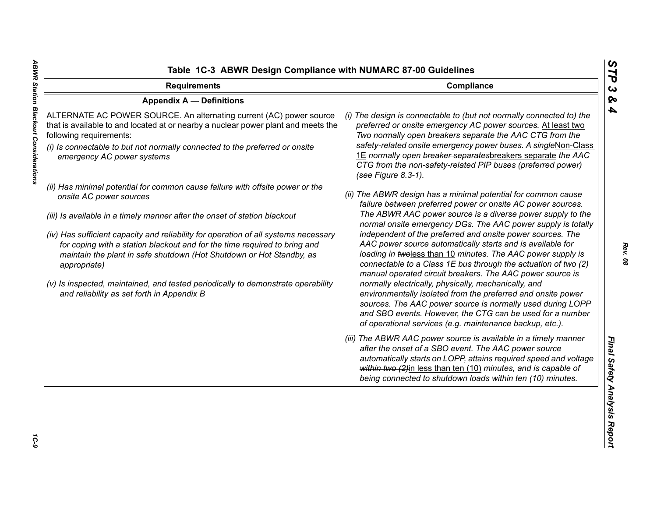| <b>Requirements</b>                                                                                                                                                                                                                                                                                                                                                                                                                                                                                                                                                                 | Compliance                                                                                                                                                                                                                                                                                                                                                                                                                                                                                                                                                                                                                                                                                                                                                                                                                                                                                          |  |
|-------------------------------------------------------------------------------------------------------------------------------------------------------------------------------------------------------------------------------------------------------------------------------------------------------------------------------------------------------------------------------------------------------------------------------------------------------------------------------------------------------------------------------------------------------------------------------------|-----------------------------------------------------------------------------------------------------------------------------------------------------------------------------------------------------------------------------------------------------------------------------------------------------------------------------------------------------------------------------------------------------------------------------------------------------------------------------------------------------------------------------------------------------------------------------------------------------------------------------------------------------------------------------------------------------------------------------------------------------------------------------------------------------------------------------------------------------------------------------------------------------|--|
| <b>Appendix A - Definitions</b>                                                                                                                                                                                                                                                                                                                                                                                                                                                                                                                                                     |                                                                                                                                                                                                                                                                                                                                                                                                                                                                                                                                                                                                                                                                                                                                                                                                                                                                                                     |  |
| ALTERNATE AC POWER SOURCE. An alternating current (AC) power source<br>that is available to and located at or nearby a nuclear power plant and meets the<br>following requirements:<br>(i) Is connectable to but not normally connected to the preferred or onsite<br>emergency AC power systems                                                                                                                                                                                                                                                                                    | (i) The design is connectable to (but not normally connected to) the<br>preferred or onsite emergency AC power sources. At least two<br>Two-normally open breakers separate the AAC CTG from the<br>safety-related onsite emergency power buses. A singleNon-Class<br>1E normally open breaker separatesbreakers separate the AAC<br>CTG from the non-safety-related PIP buses (preferred power)<br>(see Figure 8.3-1).                                                                                                                                                                                                                                                                                                                                                                                                                                                                             |  |
| (ii) Has minimal potential for common cause failure with offsite power or the<br>onsite AC power sources<br>(iii) Is available in a timely manner after the onset of station blackout<br>(iv) Has sufficient capacity and reliability for operation of all systems necessary<br>for coping with a station blackout and for the time required to bring and<br>maintain the plant in safe shutdown (Hot Shutdown or Hot Standby, as<br>appropriate)<br>(v) Is inspected, maintained, and tested periodically to demonstrate operability<br>and reliability as set forth in Appendix B | (ii) The ABWR design has a minimal potential for common cause<br>failure between preferred power or onsite AC power sources.<br>The ABWR AAC power source is a diverse power supply to the<br>normal onsite emergency DGs. The AAC power supply is totally<br>independent of the preferred and onsite power sources. The<br>AAC power source automatically starts and is available for<br>loading in twoless than 10 minutes. The AAC power supply is<br>connectable to a Class 1E bus through the actuation of two (2)<br>manual operated circuit breakers. The AAC power source is<br>normally electrically, physically, mechanically, and<br>environmentally isolated from the preferred and onsite power<br>sources. The AAC power source is normally used during LOPP<br>and SBO events. However, the CTG can be used for a number<br>of operational services (e.g. maintenance backup, etc.). |  |
|                                                                                                                                                                                                                                                                                                                                                                                                                                                                                                                                                                                     | (iii) The ABWR AAC power source is available in a timely manner<br>after the onset of a SBO event. The AAC power source<br>automatically starts on LOPP, attains required speed and voltage<br>within two (2)in less than ten (10) minutes, and is capable of<br>being connected to shutdown loads within ten (10) minutes.                                                                                                                                                                                                                                                                                                                                                                                                                                                                                                                                                                         |  |

*STP 3 & 4*

1C-9